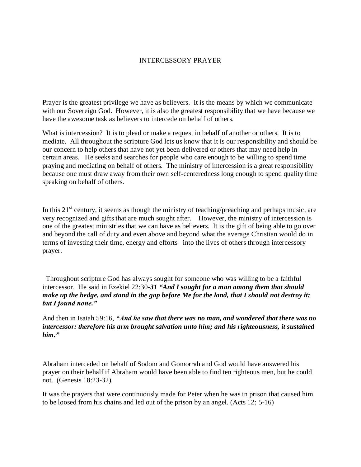## INTERCESSORY PRAYER

Prayer is the greatest privilege we have as believers. It is the means by which we communicate with our Sovereign God. However, it is also the greatest responsibility that we have because we have the awesome task as believers to intercede on behalf of others.

What is intercession? It is to plead or make a request in behalf of another or others. It is to mediate. All throughout the scripture God lets us know that it is our responsibility and should be our concern to help others that have not yet been delivered or others that may need help in certain areas. He seeks and searches for people who care enough to be willing to spend time praying and mediating on behalf of others. The ministry of intercession is a great responsibility because one must draw away from their own self-centeredness long enough to spend quality time speaking on behalf of others.

In this  $21<sup>st</sup>$  century, it seems as though the ministry of teaching/preaching and perhaps music, are very recognized and gifts that are much sought after. However, the ministry of intercession is one of the greatest ministries that we can have as believers. It is the gift of being able to go over and beyond the call of duty and even above and beyond what the average Christian would do in terms of investing their time, energy and efforts into the lives of others through intercessory prayer.

Throughout scripture God has always sought for someone who was willing to be a faithful intercessor. He said in Ezekiel 22:30-*31 "And I sought for a man among them that should make up the hedge, and stand in the gap before Me for the land, that I should not destroy it: but I found none."* 

And then in Isaiah 59:16, *"And he saw that there was no man, and wondered that there was no intercessor: therefore his arm brought salvation unto him; and his righteousness, it sustained him."*

Abraham interceded on behalf of Sodom and Gomorrah and God would have answered his prayer on their behalf if Abraham would have been able to find ten righteous men, but he could not. (Genesis 18:23-32)

It was the prayers that were continuously made for Peter when he was in prison that caused him to be loosed from his chains and led out of the prison by an angel. (Acts 12; 5-16)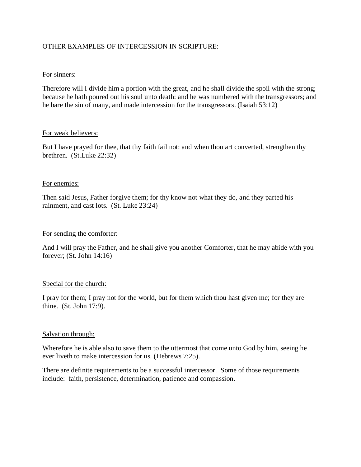# OTHER EXAMPLES OF INTERCESSION IN SCRIPTURE:

## For sinners:

Therefore will I divide him a portion with the great, and he shall divide the spoil with the strong; because he hath poured out his soul unto death: and he was numbered with the transgressors; and he bare the sin of many, and made intercession for the transgressors. (Isaiah 53:12)

## For weak believers:

But I have prayed for thee, that thy faith fail not: and when thou art converted, strengthen thy brethren. (St.Luke 22:32)

## For enemies:

Then said Jesus, Father forgive them; for thy know not what they do, and they parted his rainment, and cast lots. (St. Luke 23:24)

#### For sending the comforter:

And I will pray the Father, and he shall give you another Comforter, that he may abide with you forever; (St. John 14:16)

#### Special for the church:

I pray for them; I pray not for the world, but for them which thou hast given me; for they are thine. (St. John 17:9).

#### Salvation through:

Wherefore he is able also to save them to the uttermost that come unto God by him, seeing he ever liveth to make intercession for us. (Hebrews 7:25).

There are definite requirements to be a successful intercessor. Some of those requirements include: faith, persistence, determination, patience and compassion.